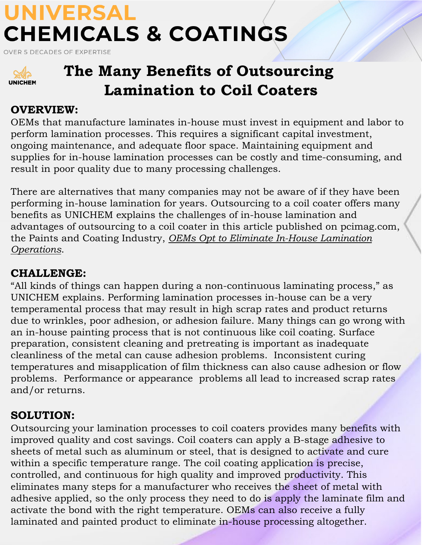## **UNIVERSAL CHEMICALS & COATINGS**

**OVER 5 DECADES OF EXPERTISE** 



### **The Many Benefits of Outsourcing Lamination to Coil Coaters**

�

#### **OVERVIEW:**

OEMs that manufacture laminates in-house must invest in equipment and labor to perform lamination processes. This requires a significant capital investment, ongoing maintenance, and adequate floor space. Maintaining equipment and supplies for in-house lamination processes can be costly and time-consuming, and result in poor quality due to many processing challenges.

There are alternatives that many companies may not be aware of if they have been performing in-house lamination for years. Outsourcing to a coil coater offers many benefits as UNICHEM explains the challenges of in-house lamination and advantages of outsourcing to a coil coater in this article published on pcimag.com, the Paints and Coating Industry, *[OEMs Opt to Eliminate In-House Lamination](https://www.pcimag.com/articles/105273-oems-opt-to-eliminate-in-house-lamination-operations) Operations*.

#### **CHALLENGE:**

"All kinds of things can happen during a non-continuous laminating process," as UNICHEM explains. Performing lamination processes in-house can be a very temperamental process that may result in high scrap rates and product returns due to wrinkles, poor adhesion, or adhesion failure. Many things can go wrong with an in-house painting process that is not continuous like coil coating. Surface preparation, consistent cleaning and pretreating is important as inadequate cleanliness of the metal can cause adhesion problems. Inconsistent curing temperatures and misapplication of film thickness can also cause adhesion or flow problems. Performance or appearance problems all lead to increased scrap rates and/or returns.

#### **SOLUTION:**

Outsourcing your lamination processes to coil coaters provides many benefits with improved quality and cost savings. Coil coaters can apply a B-stage adhesive to sheets of metal such as aluminum or steel, that is designed to activate and cure within a specific temperature range. The coil coating application is precise, controlled, and continuous for high quality and improved productivity. This eliminates many steps for a manufacturer who receives the sheet of metal with adhesive applied, so the only process they need to do is apply the laminate film and activate the bond with the right temperature. OEMs can also receive a fully laminated and painted product to eliminate in-house processing altogether.